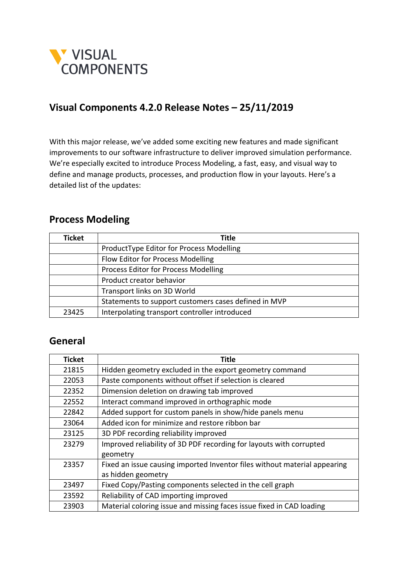

#### **Visual Components 4.2.0 Release Notes – 25/11/2019**

With this major release, we've added some exciting new features and made significant improvements to our software infrastructure to deliver improved simulation performance. We're especially excited to introduce Process Modeling, a fast, easy, and visual way to define and manage products, processes, and production flow in your layouts. Here's a detailed list of the updates:

#### **Process Modeling**

| <b>Ticket</b> | Title                                                |
|---------------|------------------------------------------------------|
|               | ProductType Editor for Process Modelling             |
|               | Flow Editor for Process Modelling                    |
|               | Process Editor for Process Modelling                 |
|               | Product creator behavior                             |
|               | Transport links on 3D World                          |
|               | Statements to support customers cases defined in MVP |
| 23425         | Interpolating transport controller introduced        |

#### **General**

| <b>Ticket</b> | <b>Title</b>                                                              |
|---------------|---------------------------------------------------------------------------|
| 21815         | Hidden geometry excluded in the export geometry command                   |
| 22053         | Paste components without offset if selection is cleared                   |
| 22352         | Dimension deletion on drawing tab improved                                |
| 22552         | Interact command improved in orthographic mode                            |
| 22842         | Added support for custom panels in show/hide panels menu                  |
| 23064         | Added icon for minimize and restore ribbon bar                            |
| 23125         | 3D PDF recording reliability improved                                     |
| 23279         | Improved reliability of 3D PDF recording for layouts with corrupted       |
|               | geometry                                                                  |
| 23357         | Fixed an issue causing imported Inventor files without material appearing |
|               | as hidden geometry                                                        |
| 23497         | Fixed Copy/Pasting components selected in the cell graph                  |
| 23592         | Reliability of CAD importing improved                                     |
| 23903         | Material coloring issue and missing faces issue fixed in CAD loading      |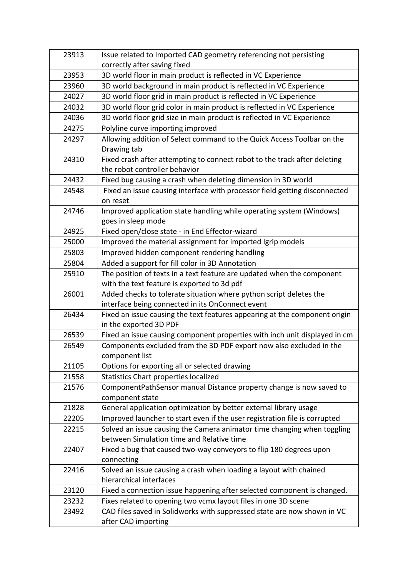| 23913 | Issue related to Imported CAD geometry referencing not persisting          |
|-------|----------------------------------------------------------------------------|
|       | correctly after saving fixed                                               |
| 23953 | 3D world floor in main product is reflected in VC Experience               |
| 23960 | 3D world background in main product is reflected in VC Experience          |
| 24027 | 3D world floor grid in main product is reflected in VC Experience          |
| 24032 | 3D world floor grid color in main product is reflected in VC Experience    |
| 24036 | 3D world floor grid size in main product is reflected in VC Experience     |
| 24275 | Polyline curve importing improved                                          |
| 24297 | Allowing addition of Select command to the Quick Access Toolbar on the     |
|       | Drawing tab                                                                |
| 24310 | Fixed crash after attempting to connect robot to the track after deleting  |
|       | the robot controller behavior                                              |
| 24432 | Fixed bug causing a crash when deleting dimension in 3D world              |
| 24548 | Fixed an issue causing interface with processor field getting disconnected |
|       | on reset                                                                   |
| 24746 | Improved application state handling while operating system (Windows)       |
|       | goes in sleep mode                                                         |
| 24925 | Fixed open/close state - in End Effector-wizard                            |
| 25000 | Improved the material assignment for imported Igrip models                 |
| 25803 | Improved hidden component rendering handling                               |
| 25804 | Added a support for fill color in 3D Annotation                            |
| 25910 | The position of texts in a text feature are updated when the component     |
|       | with the text feature is exported to 3d pdf                                |
| 26001 | Added checks to tolerate situation where python script deletes the         |
|       | interface being connected in its OnConnect event                           |
| 26434 | Fixed an issue causing the text features appearing at the component origin |
|       | in the exported 3D PDF                                                     |
| 26539 | Fixed an issue causing component properties with inch unit displayed in cm |
| 26549 | Components excluded from the 3D PDF export now also excluded in the        |
|       | component list                                                             |
| 21105 | Options for exporting all or selected drawing                              |
| 21558 | Statistics Chart properties localized                                      |
| 21576 | ComponentPathSensor manual Distance property change is now saved to        |
|       | component state                                                            |
| 21828 | General application optimization by better external library usage          |
| 22205 | Improved launcher to start even if the user registration file is corrupted |
| 22215 | Solved an issue causing the Camera animator time changing when toggling    |
|       | between Simulation time and Relative time                                  |
| 22407 | Fixed a bug that caused two-way conveyors to flip 180 degrees upon         |
|       | connecting                                                                 |
| 22416 | Solved an issue causing a crash when loading a layout with chained         |
|       | hierarchical interfaces                                                    |
| 23120 | Fixed a connection issue happening after selected component is changed.    |
| 23232 | Fixes related to opening two vcmx layout files in one 3D scene             |
| 23492 | CAD files saved in Solidworks with suppressed state are now shown in VC    |
|       | after CAD importing                                                        |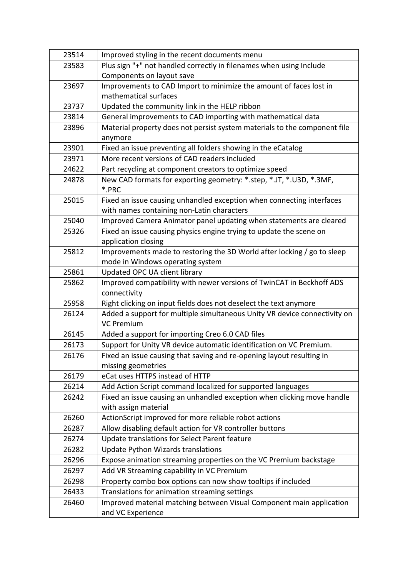| 23514 | Improved styling in the recent documents menu                             |
|-------|---------------------------------------------------------------------------|
| 23583 | Plus sign "+" not handled correctly in filenames when using Include       |
|       | Components on layout save                                                 |
| 23697 | Improvements to CAD Import to minimize the amount of faces lost in        |
|       | mathematical surfaces                                                     |
| 23737 | Updated the community link in the HELP ribbon                             |
| 23814 | General improvements to CAD importing with mathematical data              |
| 23896 | Material property does not persist system materials to the component file |
|       | anymore                                                                   |
| 23901 | Fixed an issue preventing all folders showing in the eCatalog             |
| 23971 | More recent versions of CAD readers included                              |
| 24622 | Part recycling at component creators to optimize speed                    |
| 24878 | New CAD formats for exporting geometry: *.step, *.JT, *.U3D, *.3MF,       |
|       | *.PRC                                                                     |
| 25015 | Fixed an issue causing unhandled exception when connecting interfaces     |
|       | with names containing non-Latin characters                                |
| 25040 | Improved Camera Animator panel updating when statements are cleared       |
| 25326 | Fixed an issue causing physics engine trying to update the scene on       |
|       | application closing                                                       |
| 25812 | Improvements made to restoring the 3D World after locking / go to sleep   |
|       | mode in Windows operating system                                          |
| 25861 | Updated OPC UA client library                                             |
| 25862 | Improved compatibility with newer versions of TwinCAT in Beckhoff ADS     |
|       | connectivity                                                              |
| 25958 | Right clicking on input fields does not deselect the text anymore         |
| 26124 | Added a support for multiple simultaneous Unity VR device connectivity on |
|       | <b>VC Premium</b>                                                         |
| 26145 | Added a support for importing Creo 6.0 CAD files                          |
| 26173 | Support for Unity VR device automatic identification on VC Premium.       |
| 26176 | Fixed an issue causing that saving and re-opening layout resulting in     |
|       | missing geometries                                                        |
| 26179 | eCat uses HTTPS instead of HTTP                                           |
| 26214 | Add Action Script command localized for supported languages               |
| 26242 | Fixed an issue causing an unhandled exception when clicking move handle   |
|       | with assign material                                                      |
| 26260 | ActionScript improved for more reliable robot actions                     |
| 26287 | Allow disabling default action for VR controller buttons                  |
| 26274 | Update translations for Select Parent feature                             |
| 26282 | <b>Update Python Wizards translations</b>                                 |
| 26296 | Expose animation streaming properties on the VC Premium backstage         |
| 26297 | Add VR Streaming capability in VC Premium                                 |
| 26298 | Property combo box options can now show tooltips if included              |
| 26433 | Translations for animation streaming settings                             |
| 26460 | Improved material matching between Visual Component main application      |
|       | and VC Experience                                                         |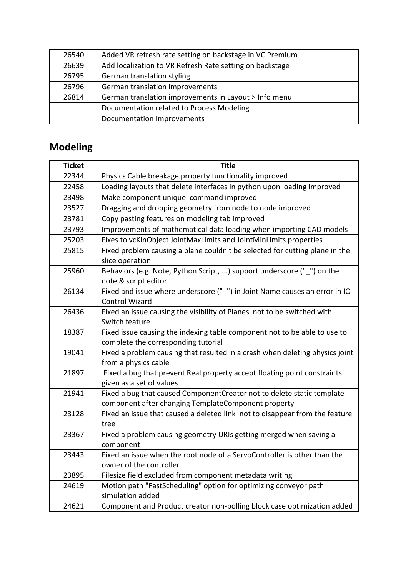| 26540 | Added VR refresh rate setting on backstage in VC Premium |
|-------|----------------------------------------------------------|
| 26639 | Add localization to VR Refresh Rate setting on backstage |
| 26795 | German translation styling                               |
| 26796 | German translation improvements                          |
| 26814 | German translation improvements in Layout > Info menu    |
|       | Documentation related to Process Modeling                |
|       | Documentation Improvements                               |

# **Modeling**

| <b>Ticket</b> | <b>Title</b>                                                                    |
|---------------|---------------------------------------------------------------------------------|
| 22344         | Physics Cable breakage property functionality improved                          |
| 22458         | Loading layouts that delete interfaces in python upon loading improved          |
| 23498         | Make component unique' command improved                                         |
| 23527         | Dragging and dropping geometry from node to node improved                       |
| 23781         | Copy pasting features on modeling tab improved                                  |
| 23793         | Improvements of mathematical data loading when importing CAD models             |
| 25203         | Fixes to vcKinObject JointMaxLimits and JointMinLimits properties               |
| 25815         | Fixed problem causing a plane couldn't be selected for cutting plane in the     |
|               | slice operation                                                                 |
| 25960         | Behaviors (e.g. Note, Python Script, ) support underscore ("") on the           |
|               | note & script editor                                                            |
| 26134         | Fixed and issue where underscore ("_") in Joint Name causes an error in IO      |
|               | <b>Control Wizard</b>                                                           |
| 26436         | Fixed an issue causing the visibility of Planes not to be switched with         |
|               | Switch feature                                                                  |
| 18387         | Fixed issue causing the indexing table component not to be able to use to       |
|               | complete the corresponding tutorial                                             |
| 19041         | Fixed a problem causing that resulted in a crash when deleting physics joint    |
|               | from a physics cable                                                            |
| 21897         | Fixed a bug that prevent Real property accept floating point constraints        |
|               | given as a set of values                                                        |
| 21941         | Fixed a bug that caused ComponentCreator not to delete static template          |
|               | component after changing TemplateComponent property                             |
| 23128         | Fixed an issue that caused a deleted link not to disappear from the feature     |
|               | tree                                                                            |
| 23367         | Fixed a problem causing geometry URIs getting merged when saving a<br>component |
| 23443         | Fixed an issue when the root node of a ServoController is other than the        |
|               | owner of the controller                                                         |
| 23895         | Filesize field excluded from component metadata writing                         |
| 24619         | Motion path "FastScheduling" option for optimizing conveyor path                |
|               | simulation added                                                                |
| 24621         | Component and Product creator non-polling block case optimization added         |
|               |                                                                                 |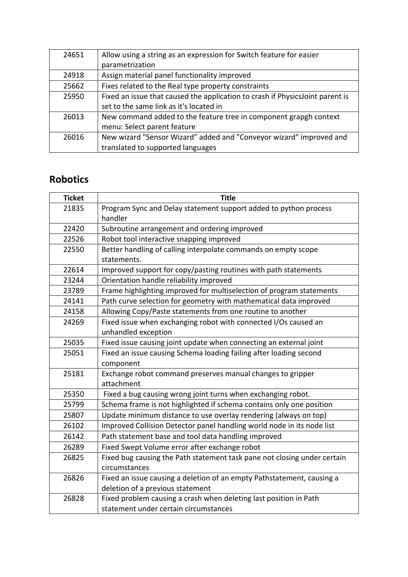| 24651 | Allow using a string as an expression for Switch feature for easier<br>parametrization |
|-------|----------------------------------------------------------------------------------------|
| 24918 | Assign material panel functionality improved                                           |
| 25662 | Fixes related to the Real type property constraints                                    |
| 25950 | Fixed an issue that caused the application to crash if PhysicsJoint parent is          |
|       | set to the same link as it's located in                                                |
| 26013 | New command added to the feature tree in component grapgh context                      |
|       | menu: Select parent feature                                                            |
| 26016 | New wizard "Sensor Wizard" added and "Conveyor wizard" improved and                    |
|       | translated to supported languages                                                      |

# **Robotics**

| <b>Ticket</b> | <b>Title</b>                                                             |
|---------------|--------------------------------------------------------------------------|
| 21835         | Program Sync and Delay statement support added to python process         |
|               | handler                                                                  |
| 22420         | Subroutine arrangement and ordering improved                             |
| 22526         | Robot tool interactive snapping improved                                 |
| 22550         | Better handling of calling interpolate commands on empty scope           |
|               | statements.                                                              |
| 22614         | Improved support for copy/pasting routines with path statements          |
| 23244         | Orientation handle reliability improved                                  |
| 23789         | Frame highlighting improved for multiselection of program statements     |
| 24141         | Path curve selection for geometry with mathematical data improved        |
| 24158         | Allowing Copy/Paste statements from one routine to another               |
| 24269         | Fixed issue when exchanging robot with connected I/Os caused an          |
|               | unhandled exception                                                      |
| 25035         | Fixed issue causing joint update when connecting an external joint       |
| 25051         | Fixed an issue causing Schema loading failing after loading second       |
|               | component                                                                |
| 25181         | Exchange robot command preserves manual changes to gripper               |
|               | attachment                                                               |
| 25350         | Fixed a bug causing wrong joint turns when exchanging robot.             |
| 25799         | Schema frame is not highlighted if schema contains only one position     |
| 25807         | Update minimum distance to use overlay rendering (always on top)         |
| 26102         | Improved Collision Detector panel handling world node in its node list   |
| 26142         | Path statement base and tool data handling improved                      |
| 26289         | Fixed Swept Volume error after exchange robot                            |
| 26825         | Fixed bug causing the Path statement task pane not closing under certain |
|               | circumstances                                                            |
| 26826         | Fixed an issue causing a deletion of an empty Pathstatement, causing a   |
|               | deletion of a previous statement                                         |
| 26828         | Fixed problem causing a crash when deleting last position in Path        |
|               | statement under certain circumstances                                    |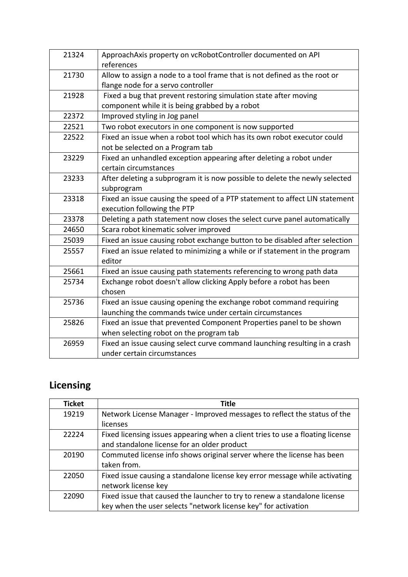| 21324 | ApproachAxis property on vcRobotController documented on API<br>references  |
|-------|-----------------------------------------------------------------------------|
| 21730 | Allow to assign a node to a tool frame that is not defined as the root or   |
|       | flange node for a servo controller                                          |
| 21928 | Fixed a bug that prevent restoring simulation state after moving            |
|       | component while it is being grabbed by a robot                              |
| 22372 | Improved styling in Jog panel                                               |
| 22521 | Two robot executors in one component is now supported                       |
| 22522 | Fixed an issue when a robot tool which has its own robot executor could     |
|       | not be selected on a Program tab                                            |
| 23229 | Fixed an unhandled exception appearing after deleting a robot under         |
|       | certain circumstances                                                       |
| 23233 | After deleting a subprogram it is now possible to delete the newly selected |
|       | subprogram                                                                  |
| 23318 | Fixed an issue causing the speed of a PTP statement to affect LIN statement |
|       | execution following the PTP                                                 |
| 23378 | Deleting a path statement now closes the select curve panel automatically   |
| 24650 | Scara robot kinematic solver improved                                       |
| 25039 | Fixed an issue causing robot exchange button to be disabled after selection |
| 25557 | Fixed an issue related to minimizing a while or if statement in the program |
|       | editor                                                                      |
| 25661 | Fixed an issue causing path statements referencing to wrong path data       |
| 25734 | Exchange robot doesn't allow clicking Apply before a robot has been         |
|       | chosen                                                                      |
| 25736 | Fixed an issue causing opening the exchange robot command requiring         |
|       | launching the commands twice under certain circumstances                    |
| 25826 | Fixed an issue that prevented Component Properties panel to be shown        |
|       | when selecting robot on the program tab                                     |
| 26959 | Fixed an issue causing select curve command launching resulting in a crash  |
|       | under certain circumstances                                                 |

# **Licensing**

| <b>Ticket</b> | <b>Title</b>                                                                   |
|---------------|--------------------------------------------------------------------------------|
| 19219         | Network License Manager - Improved messages to reflect the status of the       |
|               | licenses                                                                       |
| 22224         | Fixed licensing issues appearing when a client tries to use a floating license |
|               | and standalone license for an older product                                    |
| 20190         | Commuted license info shows original server where the license has been         |
|               | taken from.                                                                    |
| 22050         | Fixed issue causing a standalone license key error message while activating    |
|               | network license key                                                            |
| 22090         | Fixed issue that caused the launcher to try to renew a standalone license      |
|               | key when the user selects "network license key" for activation                 |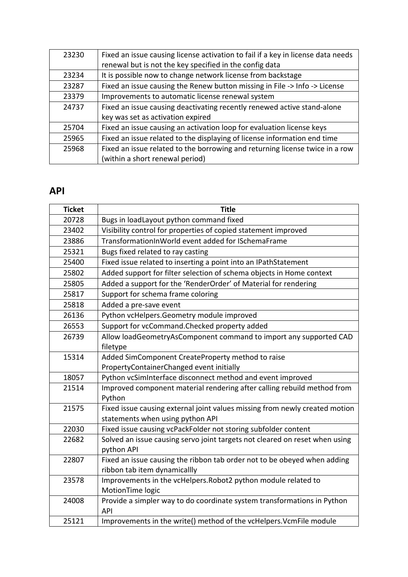| 23230 | Fixed an issue causing license activation to fail if a key in license data needs |
|-------|----------------------------------------------------------------------------------|
|       | renewal but is not the key specified in the config data                          |
| 23234 | It is possible now to change network license from backstage                      |
| 23287 | Fixed an issue causing the Renew button missing in File -> Info -> License       |
| 23379 | Improvements to automatic license renewal system                                 |
| 24737 | Fixed an issue causing deactivating recently renewed active stand-alone          |
|       | key was set as activation expired                                                |
| 25704 | Fixed an issue causing an activation loop for evaluation license keys            |
| 25965 | Fixed an issue related to the displaying of license information end time         |
| 25968 | Fixed an issue related to the borrowing and returning license twice in a row     |
|       | (within a short renewal period)                                                  |

# **API**

| <b>Ticket</b> | <b>Title</b>                                                                |
|---------------|-----------------------------------------------------------------------------|
| 20728         | Bugs in loadLayout python command fixed                                     |
| 23402         | Visibility control for properties of copied statement improved              |
| 23886         | TransformationInWorld event added for ISchemaFrame                          |
| 25321         | Bugs fixed related to ray casting                                           |
| 25400         | Fixed issue related to inserting a point into an IPathStatement             |
| 25802         | Added support for filter selection of schema objects in Home context        |
| 25805         | Added a support for the 'RenderOrder' of Material for rendering             |
| 25817         | Support for schema frame coloring                                           |
| 25818         | Added a pre-save event                                                      |
| 26136         | Python vcHelpers.Geometry module improved                                   |
| 26553         | Support for vcCommand. Checked property added                               |
| 26739         | Allow loadGeometryAsComponent command to import any supported CAD           |
|               | filetype                                                                    |
| 15314         | Added SimComponent CreateProperty method to raise                           |
|               | PropertyContainerChanged event initially                                    |
| 18057         | Python vcSimInterface disconnect method and event improved                  |
| 21514         | Improved component material rendering after calling rebuild method from     |
|               | Python                                                                      |
| 21575         | Fixed issue causing external joint values missing from newly created motion |
|               | statements when using python API                                            |
| 22030         | Fixed issue causing vcPackFolder not storing subfolder content              |
| 22682         | Solved an issue causing servo joint targets not cleared on reset when using |
|               | python API                                                                  |
| 22807         | Fixed an issue causing the ribbon tab order not to be obeyed when adding    |
|               | ribbon tab item dynamicallly                                                |
| 23578         | Improvements in the vcHelpers. Robot2 python module related to              |
|               | MotionTime logic                                                            |
| 24008         | Provide a simpler way to do coordinate system transformations in Python     |
|               | <b>API</b>                                                                  |
| 25121         | Improvements in the write() method of the vcHelpers. VcmFile module         |